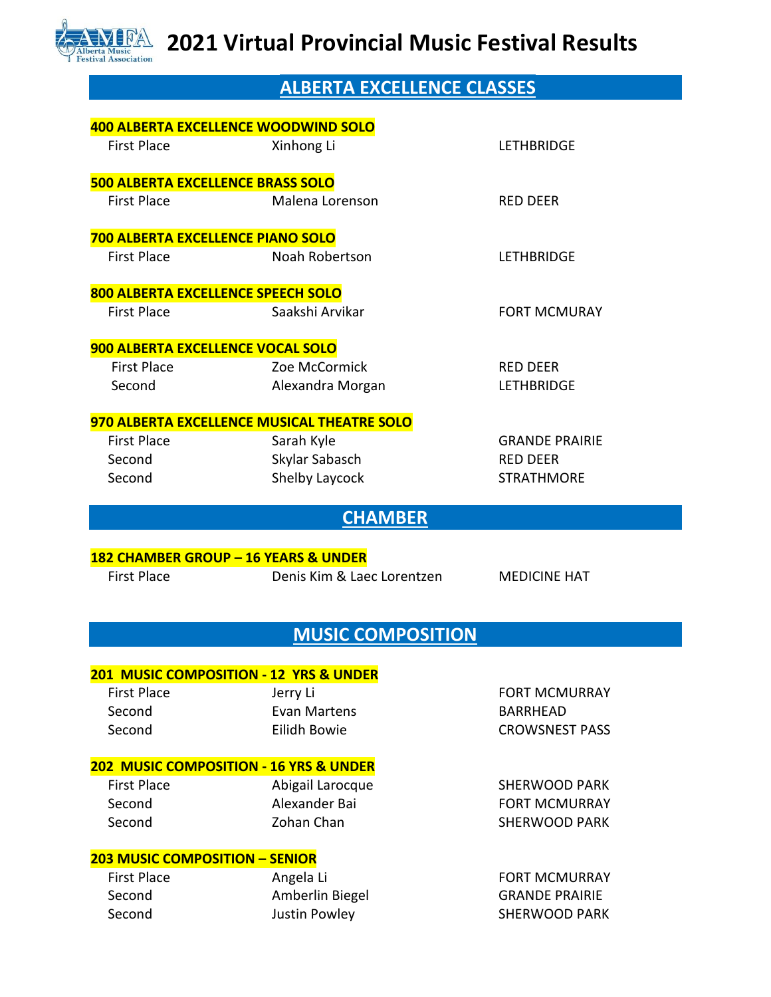

## **ALBERTA EXCELLENCE CLASSES**

| 400 ALBERTA EXCELLENCE WOODWIND SOLO              |                                  |                       |  |
|---------------------------------------------------|----------------------------------|-----------------------|--|
| <b>First Place</b>                                | Xinhong Li                       | <b>LETHBRIDGE</b>     |  |
| <b>500 ALBERTA EXCELLENCE BRASS SOLO</b>          |                                  |                       |  |
| <b>First Place</b>                                | Malena Lorenson                  | <b>RED DEER</b>       |  |
| 700 ALBERTA EXCELLENCE PIANO SOLO                 |                                  |                       |  |
| <b>First Place</b>                                | Noah Robertson                   | <b>LETHBRIDGE</b>     |  |
| 800 ALBERTA EXCELLENCE SPEECH SOLO                |                                  |                       |  |
| <b>First Place</b>                                | Saakshi Arvikar                  | <b>FORT MCMURAY</b>   |  |
| 900 ALBERTA EXCELLENCE VOCAL SOLO                 |                                  |                       |  |
| <b>First Place</b>                                | Zoe McCormick                    | <b>RED DEER</b>       |  |
| Second                                            | Alexandra Morgan                 | <b>LETHBRIDGE</b>     |  |
| 970 ALBERTA EXCELLENCE MUSICAL THEATRE SOLO       |                                  |                       |  |
| <b>First Place</b>                                | Sarah Kyle                       | <b>GRANDE PRAIRIE</b> |  |
| Second                                            | Skylar Sabasch                   | <b>RED DEER</b>       |  |
| Second                                            | Shelby Laycock                   | <b>STRATHMORE</b>     |  |
|                                                   | <b>CHAMBER</b>                   |                       |  |
|                                                   |                                  |                       |  |
|                                                   |                                  |                       |  |
| 182 CHAMBER GROUP - 16 YEARS & UNDER              |                                  |                       |  |
| <b>First Place</b>                                | Denis Kim & Laec Lorentzen       | <b>MEDICINE HAT</b>   |  |
|                                                   |                                  |                       |  |
|                                                   | <b>MUSIC COMPOSITION</b>         |                       |  |
|                                                   |                                  |                       |  |
| 201 MUSIC COMPOSITION - 12 YRS & UNDER            |                                  |                       |  |
| <b>First Place</b>                                | Jerry Li                         | <b>FORT MCMURRAY</b>  |  |
| Second                                            | <b>Evan Martens</b>              | <b>BARRHEAD</b>       |  |
| Second                                            | Eilidh Bowie                     | <b>CROWSNEST PASS</b> |  |
| <b>202 MUSIC COMPOSITION - 16 YRS &amp; UNDER</b> |                                  |                       |  |
| <b>First Place</b>                                | Abigail Larocque                 | <b>SHERWOOD PARK</b>  |  |
| Second                                            | Alexander Bai                    | <b>FORT MCMURRAY</b>  |  |
| Second                                            | Zohan Chan                       | <b>SHERWOOD PARK</b>  |  |
| <b>203 MUSIC COMPOSITION - SENIOR</b>             |                                  |                       |  |
| <b>First Place</b>                                | Angela Li                        | <b>FORT MCMURRAY</b>  |  |
| Second                                            |                                  | <b>GRANDE PRAIRIE</b> |  |
| Second                                            | Amberlin Biegel<br>Justin Powley | <b>SHERWOOD PARK</b>  |  |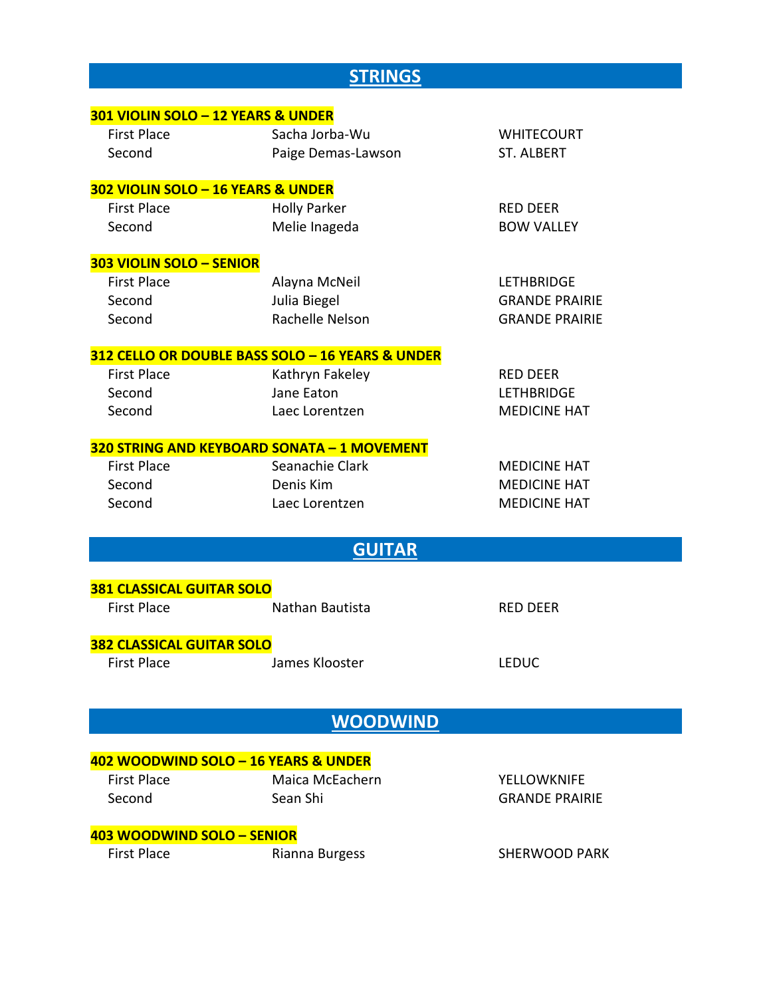## **STRINGS**

| 301 VIOLIN SOLO - 12 YEARS & UNDER                                |                                                  |                       |  |
|-------------------------------------------------------------------|--------------------------------------------------|-----------------------|--|
| <b>First Place</b>                                                | Sacha Jorba-Wu                                   | <b>WHITECOURT</b>     |  |
| Second                                                            | Paige Demas-Lawson                               | <b>ST. ALBERT</b>     |  |
|                                                                   |                                                  |                       |  |
| 302 VIOLIN SOLO - 16 YEARS & UNDER                                |                                                  |                       |  |
| <b>First Place</b>                                                | <b>Holly Parker</b>                              | <b>RED DEER</b>       |  |
| Second                                                            | Melie Inageda                                    | <b>BOW VALLEY</b>     |  |
| 303 VIOLIN SOLO - SENIOR                                          |                                                  |                       |  |
| <b>First Place</b>                                                | Alayna McNeil                                    | <b>LETHBRIDGE</b>     |  |
| Second                                                            | Julia Biegel                                     | <b>GRANDE PRAIRIE</b> |  |
| Second                                                            | Rachelle Nelson                                  | <b>GRANDE PRAIRIE</b> |  |
|                                                                   | 312 CELLO OR DOUBLE BASS SOLO - 16 YEARS & UNDER |                       |  |
| <b>First Place</b>                                                | Kathryn Fakeley                                  | <b>RED DEER</b>       |  |
| Second                                                            | Jane Eaton                                       | <b>LETHBRIDGE</b>     |  |
| Second                                                            | Laec Lorentzen                                   | <b>MEDICINE HAT</b>   |  |
|                                                                   |                                                  |                       |  |
| 320 STRING AND KEYBOARD SONATA - 1 MOVEMENT<br><b>First Place</b> | Seanachie Clark                                  | <b>MEDICINE HAT</b>   |  |
| Second                                                            | Denis Kim                                        | <b>MEDICINE HAT</b>   |  |
| Second                                                            | Laec Lorentzen                                   | <b>MEDICINE HAT</b>   |  |
|                                                                   |                                                  |                       |  |
|                                                                   | <b>GUITAR</b>                                    |                       |  |
| <b>381 CLASSICAL GUITAR SOLO</b>                                  |                                                  |                       |  |
| <b>First Place</b>                                                | Nathan Bautista                                  | <b>RED DEER</b>       |  |
|                                                                   |                                                  |                       |  |
| <b>382 CLASSICAL GUITAR SOLO</b>                                  |                                                  |                       |  |
| <b>First Place</b>                                                | James Klooster                                   | <b>LEDUC</b>          |  |
|                                                                   |                                                  |                       |  |
|                                                                   | <b>WOODWIND</b>                                  |                       |  |
|                                                                   |                                                  |                       |  |
| 402 WOODWIND SOLO - 16 YEARS & UNDER                              |                                                  |                       |  |
| <b>First Place</b>                                                | Maica McEachern                                  | <b>YELLOWKNIFE</b>    |  |
| Second                                                            | Sean Shi                                         | <b>GRANDE PRAIRIE</b> |  |
| 403 WOODWIND SOLO - SENIOR                                        |                                                  |                       |  |
| <b>First Place</b>                                                | Rianna Burgess                                   | <b>SHERWOOD PARK</b>  |  |
|                                                                   |                                                  |                       |  |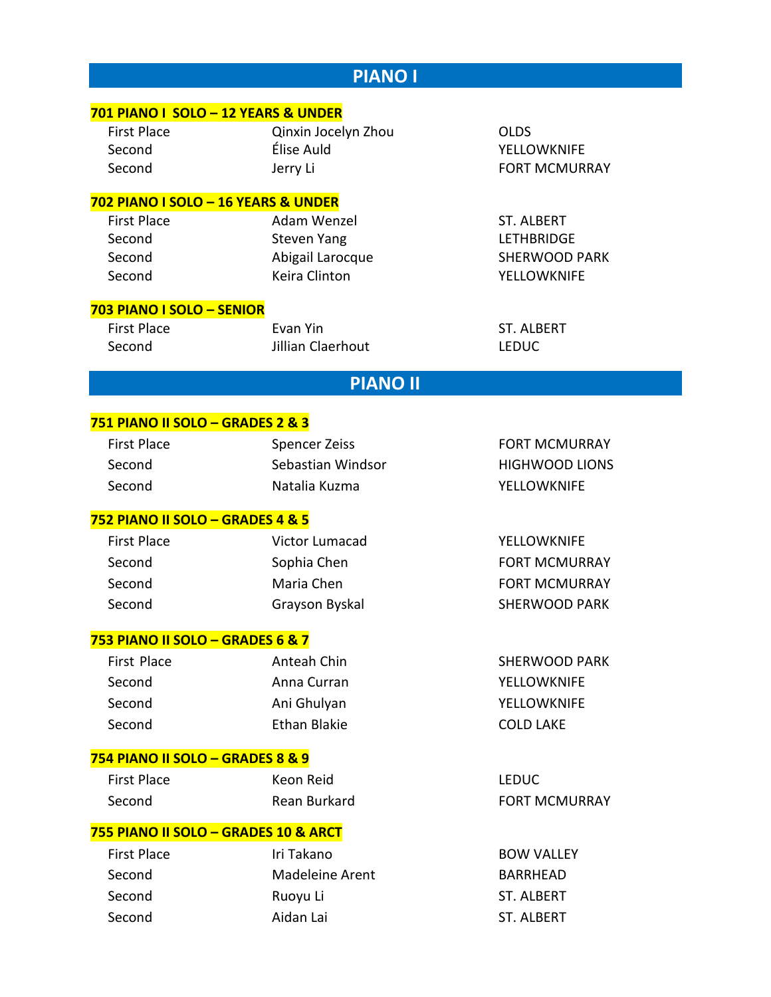| <b>PIANO I</b>                       |                                        |                                           |  |
|--------------------------------------|----------------------------------------|-------------------------------------------|--|
| 701 PIANO I SOLO - 12 YEARS & UNDER  |                                        |                                           |  |
| <b>First Place</b>                   | Qinxin Jocelyn Zhou                    | <b>OLDS</b>                               |  |
| Second                               | Élise Auld                             | <b>YELLOWKNIFE</b>                        |  |
| Second                               | Jerry Li                               | <b>FORT MCMURRAY</b>                      |  |
|                                      |                                        |                                           |  |
| 702 PIANO I SOLO - 16 YEARS & UNDER  |                                        |                                           |  |
| <b>First Place</b>                   | Adam Wenzel                            | <b>ST. ALBERT</b>                         |  |
| Second<br>Second                     | <b>Steven Yang</b><br>Abigail Larocque | <b>LETHBRIDGE</b><br><b>SHERWOOD PARK</b> |  |
| Second                               | <b>Keira Clinton</b>                   | <b>YELLOWKNIFE</b>                        |  |
|                                      |                                        |                                           |  |
| 703 PIANO I SOLO - SENIOR            |                                        |                                           |  |
| <b>First Place</b>                   | Evan Yin                               | <b>ST. ALBERT</b>                         |  |
| Second                               | Jillian Claerhout                      | <b>LEDUC</b>                              |  |
|                                      | <b>PIANO II</b>                        |                                           |  |
|                                      |                                        |                                           |  |
| 751 PIANO II SOLO - GRADES 2 & 3     |                                        |                                           |  |
| <b>First Place</b>                   | <b>Spencer Zeiss</b>                   | <b>FORT MCMURRAY</b>                      |  |
| Second                               | Sebastian Windsor                      | <b>HIGHWOOD LIONS</b>                     |  |
| Second                               | Natalia Kuzma                          | <b>YELLOWKNIFE</b>                        |  |
| 752 PIANO II SOLO - GRADES 4 & 5     |                                        |                                           |  |
| <b>First Place</b>                   | Victor Lumacad                         | <b>YELLOWKNIFE</b>                        |  |
| Second                               | Sophia Chen                            | <b>FORT MCMURRAY</b>                      |  |
| Second                               | Maria Chen                             | <b>FORT MCMURRAY</b>                      |  |
| Second                               | Grayson Byskal                         | <b>SHERWOOD PARK</b>                      |  |
|                                      |                                        |                                           |  |
| 753 PIANO II SOLO - GRADES 6 & 7     |                                        |                                           |  |
| First Place                          | Anteah Chin                            | <b>SHERWOOD PARK</b>                      |  |
| Second                               | Anna Curran                            | <b>YELLOWKNIFE</b>                        |  |
| Second                               | Ani Ghulyan                            | <b>YELLOWKNIFE</b>                        |  |
| Second                               | <b>Ethan Blakie</b>                    | <b>COLD LAKE</b>                          |  |
| 754 PIANO II SOLO - GRADES 8 & 9     |                                        |                                           |  |
| <b>First Place</b>                   | Keon Reid                              | <b>LEDUC</b>                              |  |
| Second                               | Rean Burkard                           | <b>FORT MCMURRAY</b>                      |  |
| 755 PIANO II SOLO - GRADES 10 & ARCT |                                        |                                           |  |
| <b>First Place</b>                   | Iri Takano                             | <b>BOW VALLEY</b>                         |  |
| Second                               | <b>Madeleine Arent</b>                 | <b>BARRHEAD</b>                           |  |
| Second                               | Ruoyu Li                               | ST. ALBERT                                |  |
| Second                               | Aidan Lai                              | ST. ALBERT                                |  |
|                                      |                                        |                                           |  |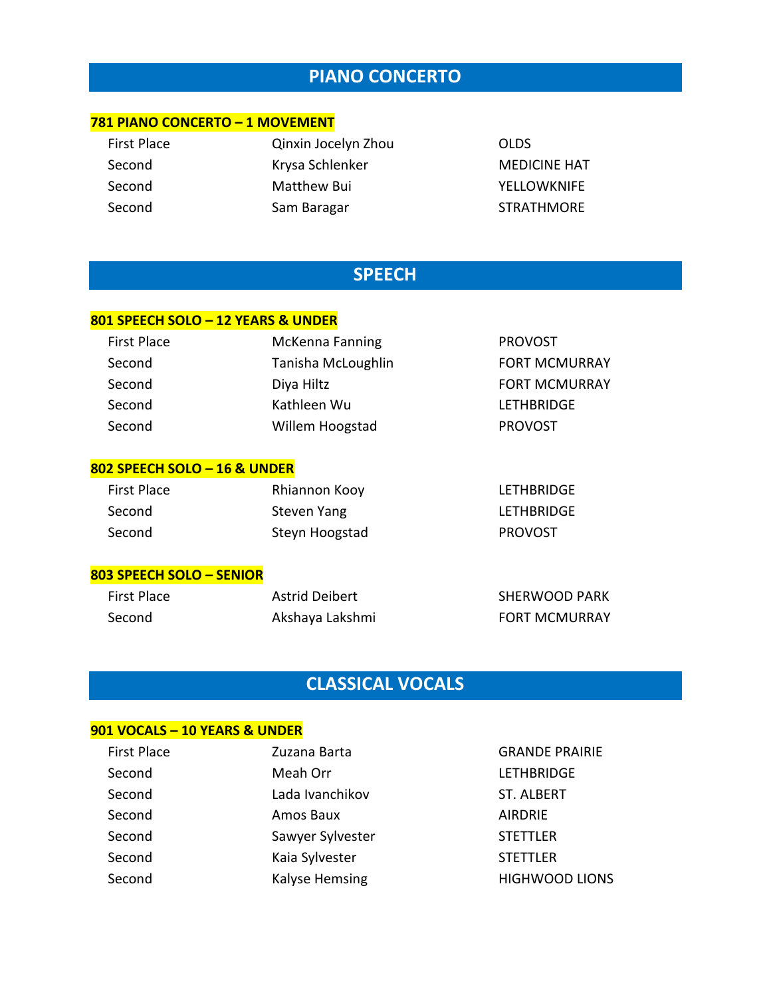### **PIANO CONCERTO**

#### **781 PIANO CONCERTO – 1 MOVEMENT**

| First Place | Qinxin Jocelyn Zhou | <b>OLDS</b>         |
|-------------|---------------------|---------------------|
| Second      | Krysa Schlenker     | <b>MEDICINE HAT</b> |
| Second      | Matthew Bui         | <b>YELLOWKNIFE</b>  |
| Second      | Sam Baragar         | <b>STRATHMORE</b>   |

### **SPEECH**

#### **801 SPEECH SOLO – 12 YEARS & UNDER**

| <b>First Place</b> | <b>McKenna Fanning</b> | <b>PROVOST</b>       |
|--------------------|------------------------|----------------------|
| Second             | Tanisha McLoughlin     | <b>FORT MCMURRAY</b> |
| Second             | Diya Hiltz             | <b>FORT MCMURRAY</b> |
| Second             | Kathleen Wu            | <b>LETHBRIDGE</b>    |
| Second             | Willem Hoogstad        | <b>PROVOST</b>       |

#### **802 SPEECH SOLO – 16 & UNDER**

| First Place | Rhiannon Kooy  | LETHBRIDGE        |
|-------------|----------------|-------------------|
| Second      | Steven Yang    | <b>LETHBRIDGE</b> |
| Second      | Steyn Hoogstad | <b>PROVOST</b>    |

#### **803 SPEECH SOLO – SENIOR**

| First Place | <b>Astrid Deibert</b> | SHERWOOD PARK        |
|-------------|-----------------------|----------------------|
| Second      | Akshaya Lakshmi       | <b>FORT MCMURRAY</b> |

## **CLASSICAL VOCALS**

### **901 VOCALS – 10 YEARS & UNDER**

| <b>First Place</b> | Zuzana Barta     | <b>GRANDE PRAIRIE</b> |
|--------------------|------------------|-----------------------|
| Second             | Meah Orr         | <b>LETHBRIDGE</b>     |
| Second             | Lada Ivanchikov  | <b>ST. ALBERT</b>     |
| Second             | Amos Baux        | <b>AIRDRIE</b>        |
| Second             | Sawyer Sylvester | <b>STETTLER</b>       |
| Second             | Kaia Sylvester   | <b>STETTLER</b>       |
| Second             | Kalyse Hemsing   | <b>HIGHWOOD LIONS</b> |
|                    |                  |                       |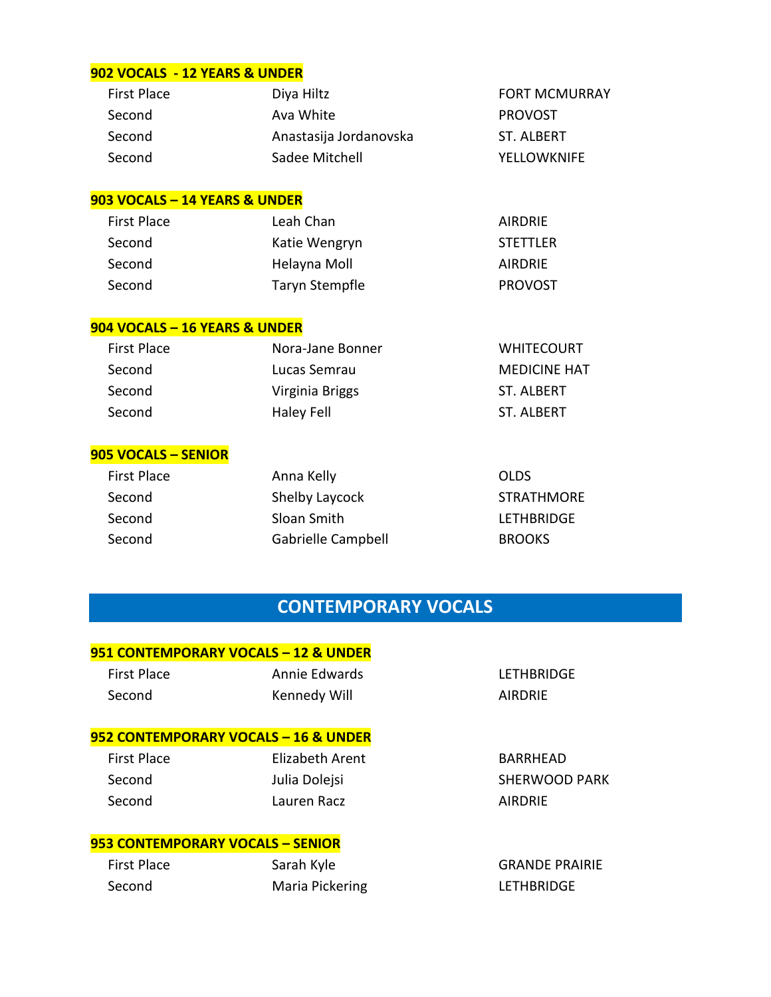#### **902 VOCALS - 12 YEARS & UNDER**

| <b>First Place</b> | Diya Hiltz             | <b>FORT MCMURRAY</b> |
|--------------------|------------------------|----------------------|
| Second             | Ava White              | <b>PROVOST</b>       |
| Second             | Anastasija Jordanovska | ST. ALBERT           |
| Second             | Sadee Mitchell         | <b>YELLOWKNIFE</b>   |

#### **903 VOCALS – 14 YEARS & UNDER**

| <b>First Place</b> | Leah Chan      | AIRDRIE         |
|--------------------|----------------|-----------------|
| Second             | Katie Wengryn  | <b>STETTLER</b> |
| Second             | Helayna Moll   | AIRDRIE         |
| Second             | Taryn Stempfle | <b>PROVOST</b>  |

#### **904 VOCALS – 16 YEARS & UNDER**

| First Place | Nora-Jane Bonner | <b>WHITECOURT</b>   |
|-------------|------------------|---------------------|
| Second      | Lucas Semrau     | <b>MEDICINE HAT</b> |
| Second      | Virginia Briggs  | ST. ALBERT          |
| Second      | Haley Fell       | ST. ALBERT          |

#### **905 VOCALS – SENIOR**

| <b>First Place</b> | Anna Kelly         | <b>OLDS</b>       |
|--------------------|--------------------|-------------------|
| Second             | Shelby Laycock     | <b>STRATHMORE</b> |
| Second             | Sloan Smith        | <b>LETHBRIDGE</b> |
| Second             | Gabrielle Campbell | <b>BROOKS</b>     |
|                    |                    |                   |

### **CONTEMPORARY VOCALS**

#### **951 CONTEMPORARY VOCALS – 12 & UNDER**

| <b>First Place</b> | Annie Edwards | LETHBRI        |
|--------------------|---------------|----------------|
| Second             | Kennedy Will  | <b>AIRDRIE</b> |

#### **952 CONTEMPORARY VOCALS – 16 & UNDER**

| First Place | Elizabeth Arent | <b>BARRHE</b>  |
|-------------|-----------------|----------------|
| Second      | Julia Dolejsi   | <b>SHERWG</b>  |
| Second      | Lauren Racz     | <b>AIRDRIE</b> |

#### **953 CONTEMPORARY VOCALS – SENIOR**

| <b>First Place</b> | Sarah Kyle      |
|--------------------|-----------------|
| Second             | Maria Pickering |

LETHBRIDGE

BARRHEAD SHERWOOD PARK

**GRANDE PRAIRIE** LETHBRIDGE